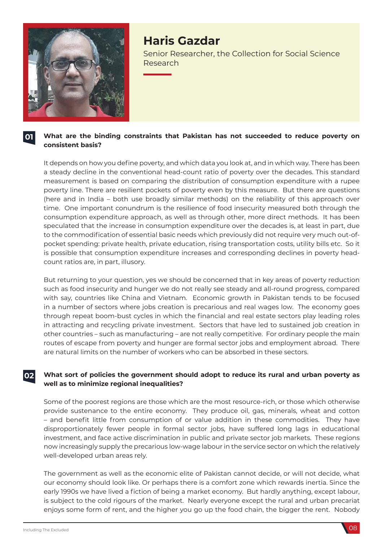

# **Haris Gazdar**

Senior Researcher, the Collection for Social Science Research

#### **01 What are the binding constraints that Pakistan has not succeeded to reduce poverty on consistent basis?**

It depends on how you define poverty, and which data you look at, and in which way. There has been a steady decline in the conventional head-count ratio of poverty over the decades. This standard measurement is based on comparing the distribution of consumption expenditure with a rupee poverty line. There are resilient pockets of poverty even by this measure. But there are questions (here and in India – both use broadly similar methods) on the reliability of this approach over time. One important conundrum is the resilience of food insecurity measured both through the consumption expenditure approach, as well as through other, more direct methods. It has been speculated that the increase in consumption expenditure over the decades is, at least in part, due to the commodification of essential basic needs which previously did not require very much out-ofpocket spending: private health, private education, rising transportation costs, utility bills etc. So it is possible that consumption expenditure increases and corresponding declines in poverty headcount ratios are, in part, illusory.

But returning to your question, yes we should be concerned that in key areas of poverty reduction such as food insecurity and hunger we do not really see steady and all-round progress, compared with say, countries like China and Vietnam. Economic growth in Pakistan tends to be focused in a number of sectors where jobs creation is precarious and real wages low. The economy goes through repeat boom-bust cycles in which the financial and real estate sectors play leading roles in attracting and recycling private investment. Sectors that have led to sustained job creation in other countries – such as manufacturing – are not really competitive. For ordinary people the main routes of escape from poverty and hunger are formal sector jobs and employment abroad. There are natural limits on the number of workers who can be absorbed in these sectors.

#### **02 What sort of policies the government should adopt to reduce its rural and urban poverty as well as to minimize regional inequalities?**

Some of the poorest regions are those which are the most resource-rich, or those which otherwise provide sustenance to the entire economy. They produce oil, gas, minerals, wheat and cotton – and benefit little from consumption of or value addition in these commodities. They have disproportionately fewer people in formal sector jobs, have suffered long lags in educational investment, and face active discrimination in public and private sector job markets. These regions now increasingly supply the precarious low-wage labour in the service sector on which the relatively well-developed urban areas rely.

The government as well as the economic elite of Pakistan cannot decide, or will not decide, what our economy should look like. Or perhaps there is a comfort zone which rewards inertia. Since the early 1990s we have lived a fiction of being a market economy. But hardly anything, except labour, is subject to the cold rigours of the market. Nearly everyone except the rural and urban precariat enjoys some form of rent, and the higher you go up the food chain, the bigger the rent. Nobody